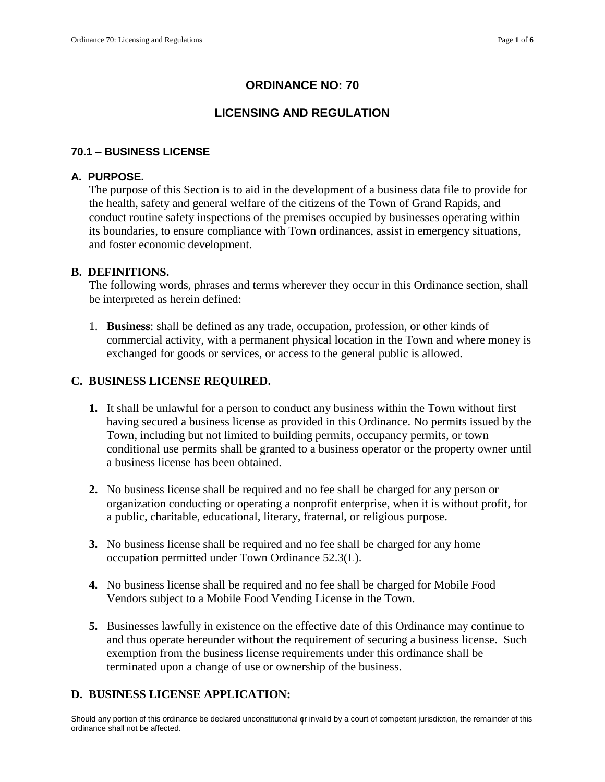# **ORDINANCE NO: 70**

# **LICENSING AND REGULATION**

### **70.1 – BUSINESS LICENSE**

#### **A. PURPOSE.**

The purpose of this Section is to aid in the development of a business data file to provide for the health, safety and general welfare of the citizens of the Town of Grand Rapids, and conduct routine safety inspections of the premises occupied by businesses operating within its boundaries, to ensure compliance with Town ordinances, assist in emergency situations, and foster economic development.

#### **B. DEFINITIONS.**

The following words, phrases and terms wherever they occur in this Ordinance section, shall be interpreted as herein defined:

1. **Business**: shall be defined as any trade, occupation, profession, or other kinds of commercial activity, with a permanent physical location in the Town and where money is exchanged for goods or services, or access to the general public is allowed.

#### **C. BUSINESS LICENSE REQUIRED.**

- **1.** It shall be unlawful for a person to conduct any business within the Town without first having secured a business license as provided in this Ordinance. No permits issued by the Town, including but not limited to building permits, occupancy permits, or town conditional use permits shall be granted to a business operator or the property owner until a business license has been obtained.
- **2.** No business license shall be required and no fee shall be charged for any person or organization conducting or operating a nonprofit enterprise, when it is without profit, for a public, charitable, educational, literary, fraternal, or religious purpose.
- **3.** No business license shall be required and no fee shall be charged for any home occupation permitted under Town Ordinance 52.3(L).
- **4.** No business license shall be required and no fee shall be charged for Mobile Food Vendors subject to a Mobile Food Vending License in the Town.
- **5.** Businesses lawfully in existence on the effective date of this Ordinance may continue to and thus operate hereunder without the requirement of securing a business license. Such exemption from the business license requirements under this ordinance shall be terminated upon a change of use or ownership of the business.

### **D. BUSINESS LICENSE APPLICATION:**

Should any portion of this ordinance be declared unconstitutional **φ**r invalid by a court of competent jurisdiction, the remainder of this<br>ordinance shall not be affected.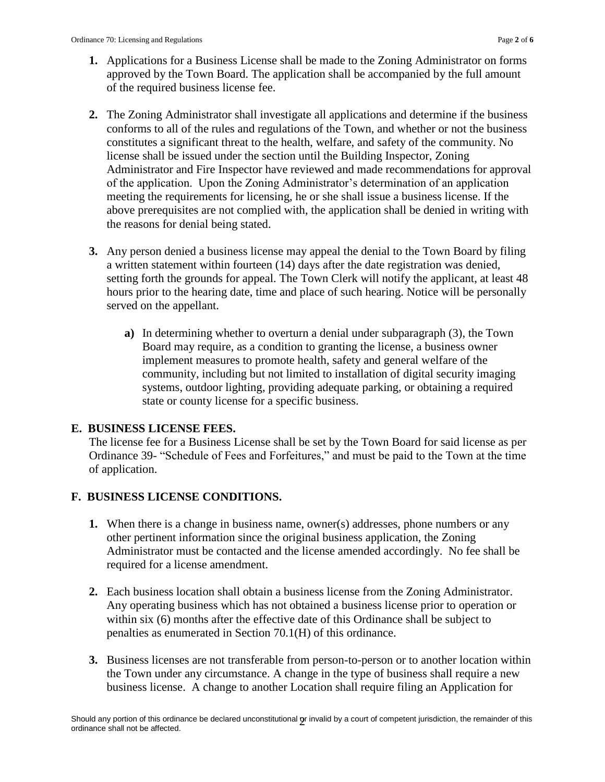- **1.** Applications for a Business License shall be made to the Zoning Administrator on forms approved by the Town Board. The application shall be accompanied by the full amount of the required business license fee.
- **2.** The Zoning Administrator shall investigate all applications and determine if the business conforms to all of the rules and regulations of the Town, and whether or not the business constitutes a significant threat to the health, welfare, and safety of the community. No license shall be issued under the section until the Building Inspector, Zoning Administrator and Fire Inspector have reviewed and made recommendations for approval of the application. Upon the Zoning Administrator's determination of an application meeting the requirements for licensing, he or she shall issue a business license. If the above prerequisites are not complied with, the application shall be denied in writing with the reasons for denial being stated.
- **3.** Any person denied a business license may appeal the denial to the Town Board by filing a written statement within fourteen (14) days after the date registration was denied, setting forth the grounds for appeal. The Town Clerk will notify the applicant, at least 48 hours prior to the hearing date, time and place of such hearing. Notice will be personally served on the appellant.
	- **a)** In determining whether to overturn a denial under subparagraph (3), the Town Board may require, as a condition to granting the license, a business owner implement measures to promote health, safety and general welfare of the community, including but not limited to installation of digital security imaging systems, outdoor lighting, providing adequate parking, or obtaining a required state or county license for a specific business.

### **E. BUSINESS LICENSE FEES.**

The license fee for a Business License shall be set by the Town Board for said license as per Ordinance 39- "Schedule of Fees and Forfeitures," and must be paid to the Town at the time of application.

# **F. BUSINESS LICENSE CONDITIONS.**

- **1.** When there is a change in business name, owner(s) addresses, phone numbers or any other pertinent information since the original business application, the Zoning Administrator must be contacted and the license amended accordingly. No fee shall be required for a license amendment.
- **2.** Each business location shall obtain a business license from the Zoning Administrator. Any operating business which has not obtained a business license prior to operation or within six (6) months after the effective date of this Ordinance shall be subject to penalties as enumerated in Section 70.1(H) of this ordinance.
- **3.** Business licenses are not transferable from person-to-person or to another location within the Town under any circumstance. A change in the type of business shall require a new business license. A change to another Location shall require filing an Application for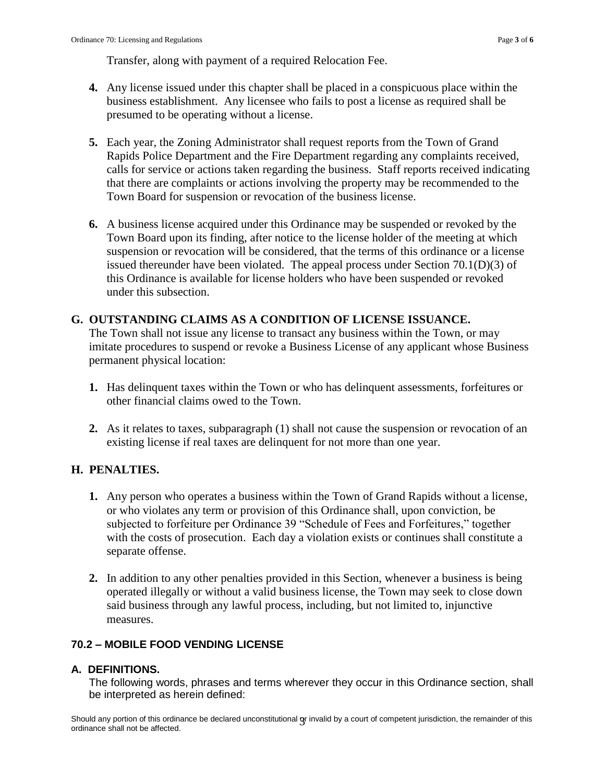Transfer, along with payment of a required Relocation Fee.

- **4.** Any license issued under this chapter shall be placed in a conspicuous place within the business establishment. Any licensee who fails to post a license as required shall be presumed to be operating without a license.
- **5.** Each year, the Zoning Administrator shall request reports from the Town of Grand Rapids Police Department and the Fire Department regarding any complaints received, calls for service or actions taken regarding the business. Staff reports received indicating that there are complaints or actions involving the property may be recommended to the Town Board for suspension or revocation of the business license.
- **6.** A business license acquired under this Ordinance may be suspended or revoked by the Town Board upon its finding, after notice to the license holder of the meeting at which suspension or revocation will be considered, that the terms of this ordinance or a license issued thereunder have been violated. The appeal process under Section 70.1(D)(3) of this Ordinance is available for license holders who have been suspended or revoked under this subsection.

### **G. OUTSTANDING CLAIMS AS A CONDITION OF LICENSE ISSUANCE.**

The Town shall not issue any license to transact any business within the Town, or may imitate procedures to suspend or revoke a Business License of any applicant whose Business permanent physical location:

- **1.** Has delinquent taxes within the Town or who has delinquent assessments, forfeitures or other financial claims owed to the Town.
- **2.** As it relates to taxes, subparagraph (1) shall not cause the suspension or revocation of an existing license if real taxes are delinquent for not more than one year.

# **H. PENALTIES.**

- **1.** Any person who operates a business within the Town of Grand Rapids without a license, or who violates any term or provision of this Ordinance shall, upon conviction, be subjected to forfeiture per Ordinance 39 "Schedule of Fees and Forfeitures," together with the costs of prosecution. Each day a violation exists or continues shall constitute a separate offense.
- **2.** In addition to any other penalties provided in this Section, whenever a business is being operated illegally or without a valid business license, the Town may seek to close down said business through any lawful process, including, but not limited to, injunctive measures.

### **70.2 – MOBILE FOOD VENDING LICENSE**

#### **A. DEFINITIONS.**

The following words, phrases and terms wherever they occur in this Ordinance section, shall be interpreted as herein defined:

Should any portion of this ordinance be declared unconstitutional **g**r invalid by a court of competent jurisdiction, the remainder of this<br>ordinance shall not be affected.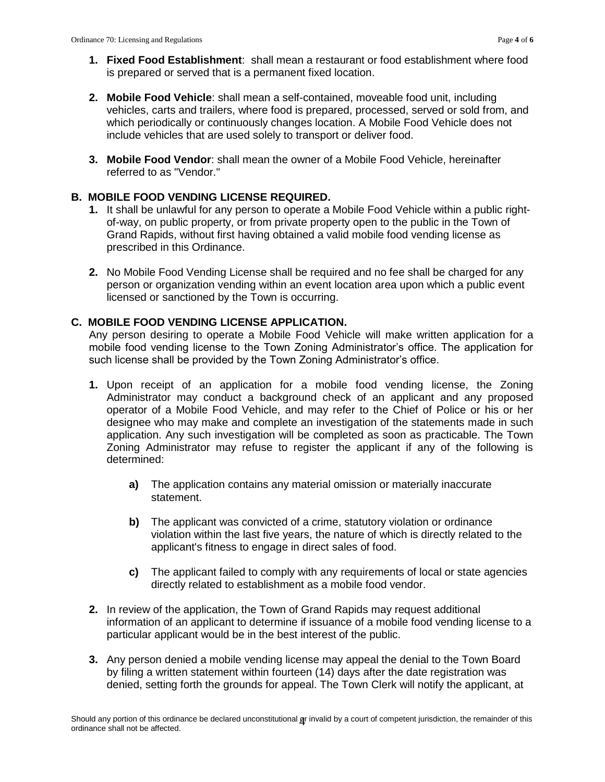- **1. Fixed Food Establishment**: shall mean a restaurant or food establishment where food is prepared or served that is a permanent fixed location.
- **2. Mobile Food Vehicle**: shall mean a self-contained, moveable food unit, including vehicles, carts and trailers, where food is prepared, processed, served or sold from, and which periodically or continuously changes location. A Mobile Food Vehicle does not include vehicles that are used solely to transport or deliver food.
- **3. Mobile Food Vendor**: shall mean the owner of a Mobile Food Vehicle, hereinafter referred to as "Vendor."

### **B. MOBILE FOOD VENDING LICENSE REQUIRED.**

- **1.** It shall be unlawful for any person to operate a Mobile Food Vehicle within a public rightof-way, on public property, or from private property open to the public in the Town of Grand Rapids, without first having obtained a valid mobile food vending license as prescribed in this Ordinance.
- **2.** No Mobile Food Vending License shall be required and no fee shall be charged for any person or organization vending within an event location area upon which a public event licensed or sanctioned by the Town is occurring.

# **C. MOBILE FOOD VENDING LICENSE APPLICATION.**

Any person desiring to operate a Mobile Food Vehicle will make written application for a mobile food vending license to the Town Zoning Administrator's office. The application for such license shall be provided by the Town Zoning Administrator's office.

- **1.** Upon receipt of an application for a mobile food vending license, the Zoning Administrator may conduct a background check of an applicant and any proposed operator of a Mobile Food Vehicle, and may refer to the Chief of Police or his or her designee who may make and complete an investigation of the statements made in such application. Any such investigation will be completed as soon as practicable. The Town Zoning Administrator may refuse to register the applicant if any of the following is determined:
	- **a)** The application contains any material omission or materially inaccurate statement.
	- **b)** The applicant was convicted of a crime, statutory violation or ordinance violation within the last five years, the nature of which is directly related to the applicant's fitness to engage in direct sales of food.
	- **c)** The applicant failed to comply with any requirements of local or state agencies directly related to establishment as a mobile food vendor.
- **2.** In review of the application, the Town of Grand Rapids may request additional information of an applicant to determine if issuance of a mobile food vending license to a particular applicant would be in the best interest of the public.
- **3.** Any person denied a mobile vending license may appeal the denial to the Town Board by filing a written statement within fourteen (14) days after the date registration was denied, setting forth the grounds for appeal. The Town Clerk will notify the applicant, at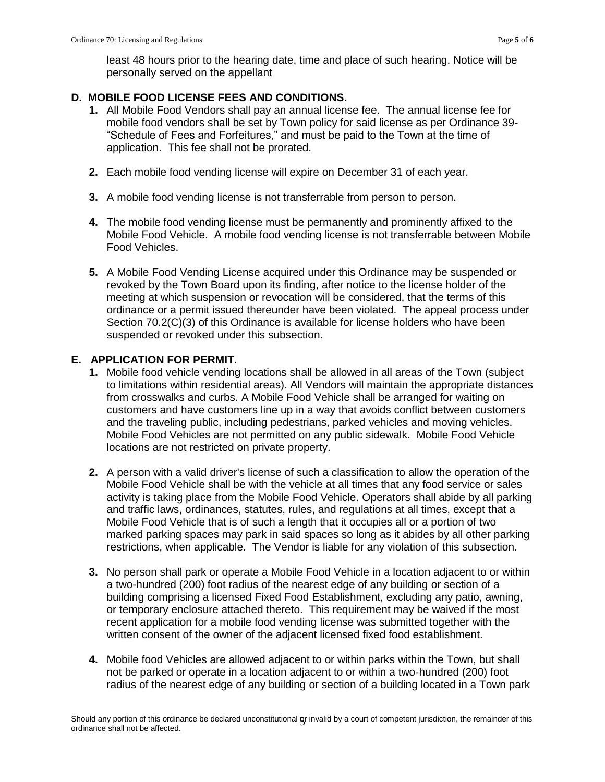least 48 hours prior to the hearing date, time and place of such hearing. Notice will be personally served on the appellant

### **D. MOBILE FOOD LICENSE FEES AND CONDITIONS.**

- **1.** All Mobile Food Vendors shall pay an annual license fee. The annual license fee for mobile food vendors shall be set by Town policy for said license as per Ordinance 39- "Schedule of Fees and Forfeitures," and must be paid to the Town at the time of application. This fee shall not be prorated.
- **2.** Each mobile food vending license will expire on December 31 of each year.
- **3.** A mobile food vending license is not transferrable from person to person.
- **4.** The mobile food vending license must be permanently and prominently affixed to the Mobile Food Vehicle. A mobile food vending license is not transferrable between Mobile Food Vehicles.
- **5.** A Mobile Food Vending License acquired under this Ordinance may be suspended or revoked by the Town Board upon its finding, after notice to the license holder of the meeting at which suspension or revocation will be considered, that the terms of this ordinance or a permit issued thereunder have been violated. The appeal process under Section 70.2(C)(3) of this Ordinance is available for license holders who have been suspended or revoked under this subsection.

### **E. APPLICATION FOR PERMIT.**

- **1.** Mobile food vehicle vending locations shall be allowed in all areas of the Town (subject to limitations within residential areas). All Vendors will maintain the appropriate distances from crosswalks and curbs. A Mobile Food Vehicle shall be arranged for waiting on customers and have customers line up in a way that avoids conflict between customers and the traveling public, including pedestrians, parked vehicles and moving vehicles. Mobile Food Vehicles are not permitted on any public sidewalk. Mobile Food Vehicle locations are not restricted on private property.
- **2.** A person with a valid driver's license of such a classification to allow the operation of the Mobile Food Vehicle shall be with the vehicle at all times that any food service or sales activity is taking place from the Mobile Food Vehicle. Operators shall abide by all parking and traffic laws, ordinances, statutes, rules, and regulations at all times, except that a Mobile Food Vehicle that is of such a length that it occupies all or a portion of two marked parking spaces may park in said spaces so long as it abides by all other parking restrictions, when applicable. The Vendor is liable for any violation of this subsection.
- **3.** No person shall park or operate a Mobile Food Vehicle in a location adjacent to or within a two-hundred (200) foot radius of the nearest edge of any building or section of a building comprising a licensed Fixed Food Establishment, excluding any patio, awning, or temporary enclosure attached thereto. This requirement may be waived if the most recent application for a mobile food vending license was submitted together with the written consent of the owner of the adjacent licensed fixed food establishment.
- **4.** Mobile food Vehicles are allowed adjacent to or within parks within the Town, but shall not be parked or operate in a location adjacent to or within a two-hundred (200) foot radius of the nearest edge of any building or section of a building located in a Town park